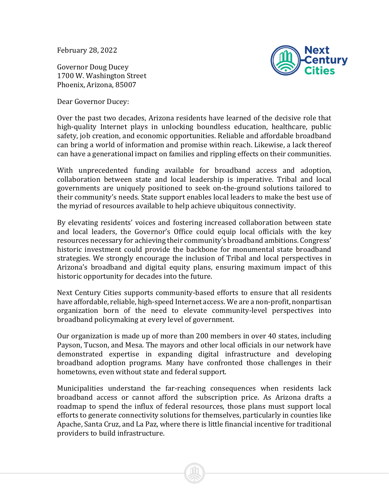February 28, 2022

Governor Doug Ducey 1700 W. Washington Street Phoenix, Arizona, 85007

Dear Governor Ducey:



Over the past two decades, Arizona residents have learned of the decisive role that high-quality Internet plays in unlocking boundless education, healthcare, public safety, job creation, and economic opportunities. Reliable and affordable broadband can bring a world of information and promise within reach. Likewise, a lack thereof can have a generational impact on families and rippling effects on their communities.

With unprecedented funding available for broadband access and adoption, collaboration between state and local leadership is imperative. Tribal and local governments are uniquely positioned to seek on-the-ground solutions tailored to their community's needs. State support enables local leaders to make the best use of the myriad of resources available to help achieve ubiquitous connectivity.

By elevating residents' voices and fostering increased collaboration between state and local leaders, the Governor's Office could equip local officials with the key resources necessary for achieving their community's broadband ambitions. Congress' historic investment could provide the backbone for monumental state broadband strategies. We strongly encourage the inclusion of Tribal and local perspectives in Arizona's broadband and digital equity plans, ensuring maximum impact of this historic opportunity for decades into the future.

Next Century Cities supports community-based efforts to ensure that all residents have affordable, reliable, high-speed Internet access. We are a non-profit, nonpartisan organization born of the need to elevate community-level perspectives into broadband policymaking at every level of government.

Our organization is made up of more than 200 members in over 40 states, including Payson, Tucson, and Mesa. The mayors and other local officials in our network have demonstrated expertise in expanding digital infrastructure and developing broadband adoption programs. Many have confronted those challenges in their hometowns, even without state and federal support.

Municipalities understand the far-reaching consequences when residents lack broadband access or cannot afford the subscription price. As Arizona drafts a roadmap to spend the influx of federal resources, those plans must support local efforts to generate connectivity solutions for themselves, particularly in counties like Apache, Santa Cruz, and La Paz, where there is little financial incentive for traditional providers to build infrastructure.